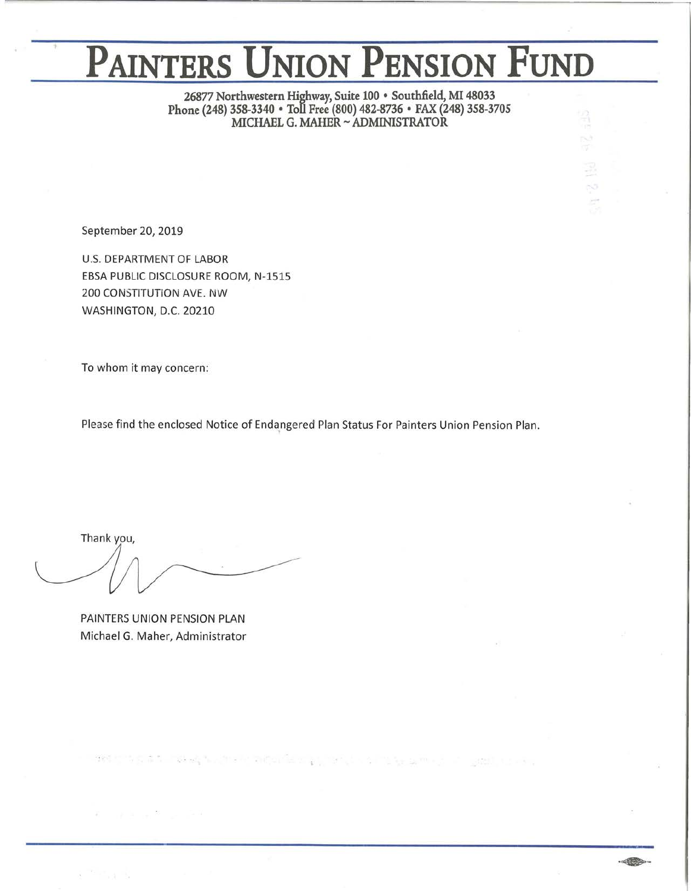# **PAINTERS UNION PENSION FUND**

**26877 Northwestern Highway, Suite 100 • Southfield, MI 48033 Phone (248) 358-3340 • Toll Free (800) 482-8736 • FAX (248) 358-3705 MICHAEL G. MAHER~ ADMINISTRATOR** 

September 20, 2019

U.S. DEPARTMENT OF LABOR EBSA PUBLIC DISCLOSURE ROOM, N-1515 200 CONSTITUTION AVE. NW WASHINGTON, D.C. 20210

To whom it may concern:

Please find the enclosed Notice of Endangered Plan Status For Painters Union Pension Plan.

designed a to have the committed and provided a many with committee of a

 $\cdot$  of  $\bullet$ 

Thank you,

PAINTERS UNION PENSION PLAN Michael G. Maher, Administrator

Record Service State